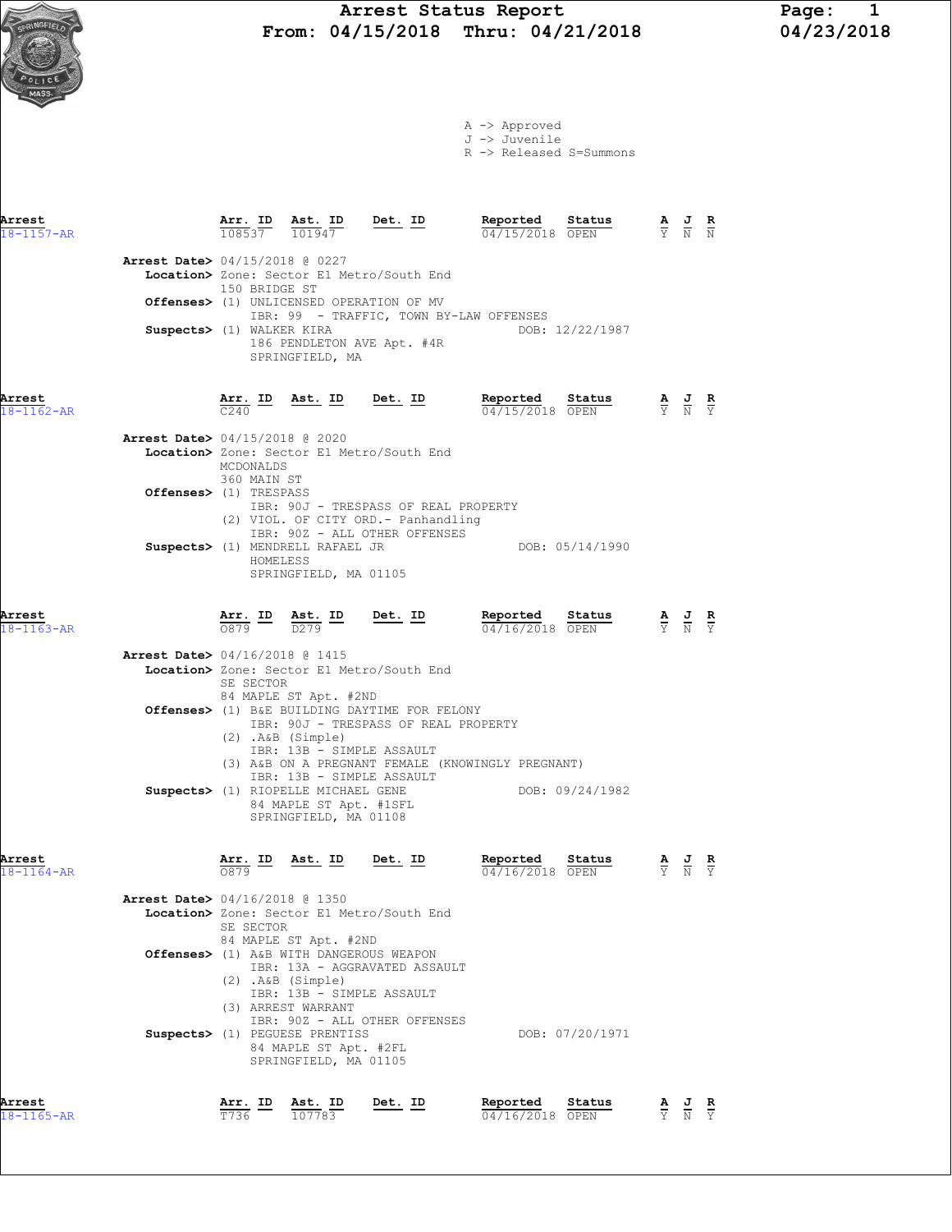

| Arrest<br>$18 - 1164 - AR$ | Arr. ID Ast. ID Det. ID<br>0879                                                                                                                                                   | Reported<br>Status<br>04/16/2018 OPEN | $\frac{\mathbf{A}}{\mathbf{A}}$ $\frac{\mathbf{J}}{\mathbf{N}}$ $\frac{\mathbf{V}}{\mathbf{Y}}$ |
|----------------------------|-----------------------------------------------------------------------------------------------------------------------------------------------------------------------------------|---------------------------------------|-------------------------------------------------------------------------------------------------|
|                            | Arrest Date> 04/16/2018 @ 1350                                                                                                                                                    |                                       |                                                                                                 |
|                            | Location> Zone: Sector E1 Metro/South End<br>SE SECTOR<br>84 MAPLE ST Apt. #2ND                                                                                                   |                                       |                                                                                                 |
|                            | Offenses> (1) A&B WITH DANGEROUS WEAPON<br>IBR: 13A - AGGRAVATED ASSAULT<br>(2) .A&B (Simple)<br>IBR: 13B - SIMPLE ASSAULT<br>(3) ARREST WARRANT<br>IBR: 90Z - ALL OTHER OFFENSES |                                       |                                                                                                 |
|                            | Suspects> (1) PEGUESE PRENTISS<br>84 MAPLE ST Apt. #2FL<br>SPRINGFIELD, MA 01105                                                                                                  | DOB: 07/20/1971                       |                                                                                                 |
| Arrest                     | Ast. ID<br>Det. ID<br>Arr. ID                                                                                                                                                     | Reported<br>Status                    | AJR                                                                                             |

18-1165-AR T736 107783 04/16/2018 OPEN Y N Y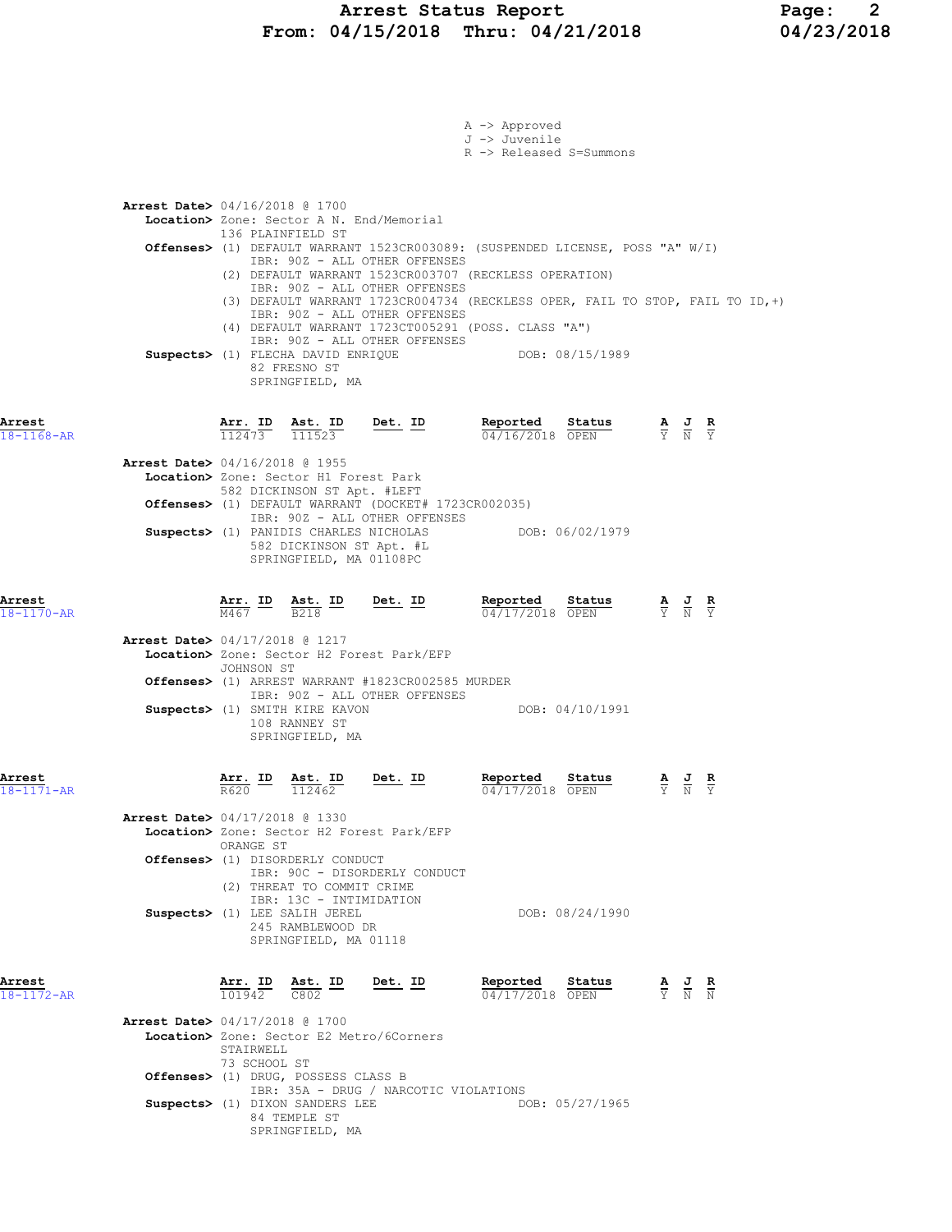### Arrest Status Report Page: 2 From: 04/15/2018 Thru: 04/21/2018 04/23/2018

|                            |                                          |                           |                                                                                                                                                                                                                                     |           | A -> Approved<br>J -> Juvenile |                                                                                                                                                           |                                                                                                 |                                           |                               |  |
|----------------------------|------------------------------------------|---------------------------|-------------------------------------------------------------------------------------------------------------------------------------------------------------------------------------------------------------------------------------|-----------|--------------------------------|-----------------------------------------------------------------------------------------------------------------------------------------------------------|-------------------------------------------------------------------------------------------------|-------------------------------------------|-------------------------------|--|
|                            |                                          |                           |                                                                                                                                                                                                                                     |           |                                | R -> Released S=Summons                                                                                                                                   |                                                                                                 |                                           |                               |  |
|                            | <b>Arrest Date&gt;</b> 04/16/2018 @ 1700 |                           | Location> Zone: Sector A N. End/Memorial                                                                                                                                                                                            |           |                                |                                                                                                                                                           |                                                                                                 |                                           |                               |  |
|                            |                                          |                           | 136 PLAINFIELD ST<br>IBR: 90Z - ALL OTHER OFFENSES                                                                                                                                                                                  |           |                                | Offenses> (1) DEFAULT WARRANT 1523CR003089: (SUSPENDED LICENSE, POSS "A" W/I)                                                                             |                                                                                                 |                                           |                               |  |
|                            |                                          |                           | IBR: 90Z - ALL OTHER OFFENSES<br>IBR: 90Z - ALL OTHER OFFENSES<br>(4) DEFAULT WARRANT 1723CT005291 (POSS. CLASS "A")<br>IBR: 90Z - ALL OTHER OFFENSES<br>Suspects> (1) FLECHA DAVID ENRIQUE<br>82 FRESNO ST<br>SPRINGFIELD, MA      |           |                                | (2) DEFAULT WARRANT 1523CR003707 (RECKLESS OPERATION)<br>(3) DEFAULT WARRANT 1723CR004734 (RECKLESS OPER, FAIL TO STOP, FAIL TO ID, +)<br>DOB: 08/15/1989 |                                                                                                 |                                           |                               |  |
| Arrest<br>$18 - 1168 - AR$ |                                          |                           | $\frac{\text{Arr.}}{112473}$ $\frac{\text{dst.}}{111523}$                                                                                                                                                                           | $Det. ID$ | <u>Reported</u>                | Status<br>04/16/2018 OPEN                                                                                                                                 | $\frac{\mathbf{A}}{\mathbf{Y}}$ $\frac{\mathbf{J}}{\mathbf{N}}$                                 |                                           | $rac{\mathbf{R}}{\mathbf{Y}}$ |  |
|                            | <b>Arrest Date&gt;</b> 04/16/2018 @ 1955 |                           | Location> Zone: Sector H1 Forest Park<br>582 DICKINSON ST Apt. #LEFT<br>Offenses> (1) DEFAULT WARRANT (DOCKET# 1723CR002035)<br>IBR: 90Z - ALL OTHER OFFENSES<br>Suspects> (1) PANIDIS CHARLES NICHOLAS<br>582 DICKINSON ST Apt. #L |           |                                | DOB: 06/02/1979                                                                                                                                           |                                                                                                 |                                           |                               |  |
|                            |                                          |                           | SPRINGFIELD, MA 01108PC                                                                                                                                                                                                             |           |                                |                                                                                                                                                           |                                                                                                 |                                           |                               |  |
| Arrest<br>18-1170-AR       |                                          | M467                      | $\frac{\text{Arr. ID}}{\text{Tr } \text{C}}$ $\frac{\text{Est. ID}}{\text{D} \cdot \text{D}}$<br><b>B218</b>                                                                                                                        | $Det. ID$ | Reported                       | Status<br>04/17/2018 OPEN                                                                                                                                 | $\frac{\mathbf{A}}{\mathbf{Y}}$ $\frac{\mathbf{J}}{\mathbf{N}}$ $\frac{\mathbf{R}}{\mathbf{Y}}$ |                                           |                               |  |
|                            | <b>Arrest Date&gt;</b> 04/17/2018 @ 1217 | JOHNSON ST                | Location> Zone: Sector H2 Forest Park/EFP<br>Offenses> (1) ARREST WARRANT #1823CR002585 MURDER                                                                                                                                      |           |                                |                                                                                                                                                           |                                                                                                 |                                           |                               |  |
|                            |                                          |                           | IBR: 90Z - ALL OTHER OFFENSES<br>Suspects> (1) SMITH KIRE KAVON<br>108 RANNEY ST<br>SPRINGFIELD, MA                                                                                                                                 |           |                                | DOB: 04/10/1991                                                                                                                                           |                                                                                                 |                                           |                               |  |
| Arrest<br>18-1171-AR       |                                          | Arr. ID<br>R620           | Ast. ID<br>112462                                                                                                                                                                                                                   | Det. ID   | Reported                       | Status<br>04/17/2018 OPEN                                                                                                                                 | Y N Y                                                                                           | $\frac{A}{B}$ $\frac{J}{B}$ $\frac{R}{B}$ |                               |  |
|                            | <b>Arrest Date&gt; 04/17/2018 @ 1330</b> | ORANGE ST                 | Location> Zone: Sector H2 Forest Park/EFP<br>Offenses> (1) DISORDERLY CONDUCT<br>IBR: 90C - DISORDERLY CONDUCT                                                                                                                      |           |                                |                                                                                                                                                           |                                                                                                 |                                           |                               |  |
|                            |                                          |                           | (2) THREAT TO COMMIT CRIME<br>IBR: 13C - INTIMIDATION<br>Suspects> (1) LEE SALIH JEREL<br>245 RAMBLEWOOD DR<br>SPRINGFIELD, MA 01118                                                                                                |           |                                | DOB: 08/24/1990                                                                                                                                           |                                                                                                 |                                           |                               |  |
| Arrest<br>18-1172-AR       |                                          |                           | $\frac{\texttt{Arr.}}{101942}$ $\frac{\texttt{ Ast.}}{C802}$ $\frac{\texttt{ID}}{C802}$                                                                                                                                             | $Det. ID$ |                                | <b>Reported Status A J R</b> $\frac{1}{04}/17/2018$ <b>OPEN P N N N</b><br>04/17/2018 OPEN                                                                |                                                                                                 |                                           |                               |  |
|                            | <b>Arrest Date&gt;</b> 04/17/2018 @ 1700 | STAIRWELL<br>73 SCHOOL ST | Location> Zone: Sector E2 Metro/6Corners                                                                                                                                                                                            |           |                                |                                                                                                                                                           |                                                                                                 |                                           |                               |  |
|                            |                                          |                           | Offenses> (1) DRUG, POSSESS CLASS B<br>IBR: 35A - DRUG / NARCOTIC VIOLATIONS<br>Suspects> (1) DIXON SANDERS LEE<br>84 TEMPLE ST                                                                                                     |           |                                | DOB: 05/27/1965                                                                                                                                           |                                                                                                 |                                           |                               |  |
|                            |                                          |                           | SPRINGFIELD, MA                                                                                                                                                                                                                     |           |                                |                                                                                                                                                           |                                                                                                 |                                           |                               |  |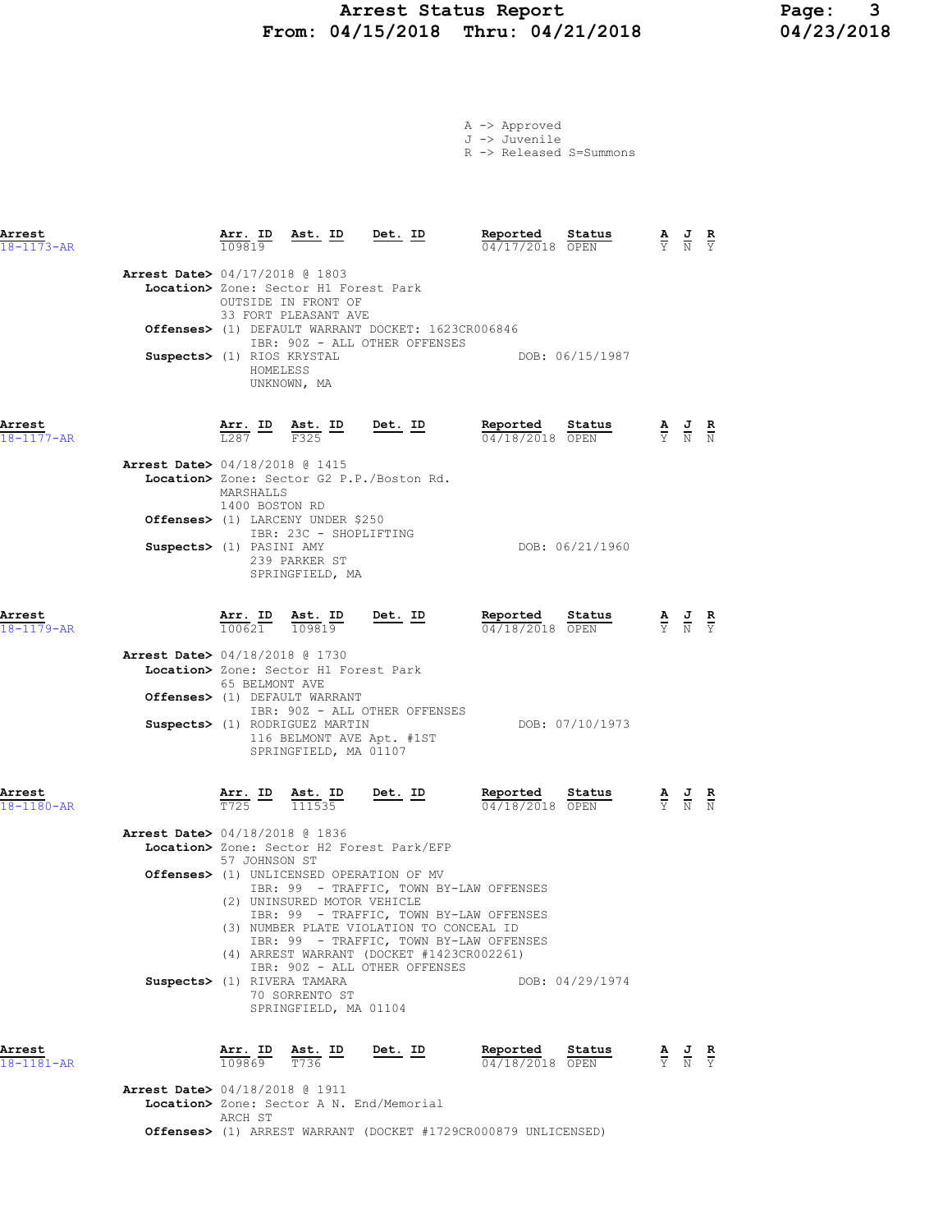# Arrest Status Report 1994/15/2018 Page: 3<br>
19/15/2018 Thru: 04/21/2018 04/23/2018 From: 04/15/2018 Thru: 04/21/2018

|  | A -> Approved         |  |
|--|-----------------------|--|
|  | J -> Juvenile         |  |
|  | <b>B</b> S Billiand A |  |

R -> Released S=Summons

| Arrest<br>$18 - 1173 - AR$               | Arr. ID<br>109819                        | Ast. ID Det. ID                                                                                     |                                                                                                                                                                                                                                                                                                     | Reported<br>Status<br>04/17/2018 OPEN                                |                                                                                                 | $\frac{\mathbf{A}}{\mathbf{Y}}$ $\frac{\mathbf{J}}{\mathbf{N}}$ $\frac{\mathbf{R}}{\mathbf{Y}}$       |  |
|------------------------------------------|------------------------------------------|-----------------------------------------------------------------------------------------------------|-----------------------------------------------------------------------------------------------------------------------------------------------------------------------------------------------------------------------------------------------------------------------------------------------------|----------------------------------------------------------------------|-------------------------------------------------------------------------------------------------|-------------------------------------------------------------------------------------------------------|--|
| Arrest Date> 04/17/2018 @ 1803           |                                          | Location> Zone: Sector H1 Forest Park<br>OUTSIDE IN FRONT OF<br>33 FORT PLEASANT AVE                | Offenses> (1) DEFAULT WARRANT DOCKET: 1623CR006846                                                                                                                                                                                                                                                  |                                                                      |                                                                                                 |                                                                                                       |  |
|                                          | Suspects> (1) RIOS KRYSTAL<br>HOMELESS   | UNKNOWN, MA                                                                                         | IBR: 90Z - ALL OTHER OFFENSES                                                                                                                                                                                                                                                                       | DOB: 06/15/1987                                                      |                                                                                                 |                                                                                                       |  |
| Arrest<br>$18 - 1177 - AR$               |                                          | $\frac{\text{Arr.}}{\text{L}287}$ $\frac{\text{ID}}{\text{F}325}$ $\frac{\text{Est.}}{\text{F}325}$ | Det. ID                                                                                                                                                                                                                                                                                             | Reported<br>Status<br>04/18/2018 OPEN                                | $\frac{\mathbf{A}}{\mathrm{Y}}$ $\frac{\mathbf{J}}{\mathrm{N}}$ $\frac{\mathbf{R}}{\mathrm{N}}$ |                                                                                                       |  |
| <b>Arrest Date&gt;</b> 04/18/2018 @ 1415 | MARSHALLS<br>1400 BOSTON RD              |                                                                                                     | Location> Zone: Sector G2 P.P./Boston Rd.                                                                                                                                                                                                                                                           |                                                                      |                                                                                                 |                                                                                                       |  |
|                                          | Suspects> (1) PASINI AMY                 | Offenses> (1) LARCENY UNDER \$250<br>IBR: 23C - SHOPLIFTING<br>239 PARKER ST<br>SPRINGFIELD, MA     |                                                                                                                                                                                                                                                                                                     | DOB: 06/21/1960                                                      |                                                                                                 |                                                                                                       |  |
| Arrest<br>$18 - 1179 - AR$               |                                          | $\frac{\texttt{Arr. ID}}{100621}$ $\frac{\texttt{ Ast. ID}}{109819}$                                |                                                                                                                                                                                                                                                                                                     | $\frac{\text{Det.}}{\text{M}}$ Reported<br>Status<br>04/18/2018 OPEN | $\frac{\mathbf{A}}{\mathbf{Y}}$ $\frac{\mathbf{J}}{\mathbf{N}}$ $\frac{\mathbf{R}}{\mathbf{Y}}$ |                                                                                                       |  |
| <b>Arrest Date&gt;</b> 04/18/2018 @ 1730 | 65 BELMONT AVE                           | Location> Zone: Sector H1 Forest Park<br>Offenses> (1) DEFAULT WARRANT                              | IBR: 90Z - ALL OTHER OFFENSES                                                                                                                                                                                                                                                                       |                                                                      |                                                                                                 |                                                                                                       |  |
|                                          |                                          | Suspects> (1) RODRIGUEZ MARTIN<br>116 BELMONT AVE Apt. #1ST<br>SPRINGFIELD, MA 01107                |                                                                                                                                                                                                                                                                                                     | DOB: 07/10/1973                                                      |                                                                                                 |                                                                                                       |  |
| Arrest<br>$18 - 1180 - AR$               | $\frac{\texttt{Arr.}}{\texttt{T725}}$ ID | $\frac{\texttt{Ast.}}{111535}$ Det. ID                                                              |                                                                                                                                                                                                                                                                                                     | Reported<br>Status<br>04/18/2018 OPEN                                |                                                                                                 | $\frac{\mathbf{A}}{\overline{Y}}$ $\frac{\mathbf{J}}{\overline{N}}$ $\frac{\mathbf{R}}{\overline{N}}$ |  |
| <b>Arrest Date&gt;</b> 04/18/2018 @ 1836 | 57 JOHNSON ST                            |                                                                                                     | Location> Zone: Sector H2 Forest Park/EFP                                                                                                                                                                                                                                                           |                                                                      |                                                                                                 |                                                                                                       |  |
|                                          |                                          | (2) UNINSURED MOTOR VEHICLE                                                                         | Offenses> (1) UNLICENSED OPERATION OF MV<br>IBR: 99 - TRAFFIC, TOWN BY-LAW OFFENSES<br>IBR: 99 - TRAFFIC, TOWN BY-LAW OFFENSES<br>(3) NUMBER PLATE VIOLATION TO CONCEAL ID<br>IBR: 99 - TRAFFIC, TOWN BY-LAW OFFENSES<br>(4) ARREST WARRANT (DOCKET #1423CR002261)<br>IBR: 90Z - ALL OTHER OFFENSES |                                                                      |                                                                                                 |                                                                                                       |  |
|                                          | Suspects> (1) RIVERA TAMARA              | 70 SORRENTO ST<br>SPRINGFIELD, MA 01104                                                             |                                                                                                                                                                                                                                                                                                     | DOB: 04/29/1974                                                      |                                                                                                 |                                                                                                       |  |
| Arrest<br>18-1181-AR                     | Arr. ID<br>109869                        | Ast. ID<br>T736                                                                                     | Det. ID                                                                                                                                                                                                                                                                                             | Reported<br>Status<br>04/18/2018 OPEN                                |                                                                                                 | $\frac{\mathbf{A}}{\mathbf{Y}}$ $\frac{\mathbf{J}}{\mathbf{N}}$ $\frac{\mathbf{R}}{\mathbf{Y}}$       |  |
| Arrest Date> 04/18/2018 @ 1911           | ARCH ST                                  |                                                                                                     | Location> Zone: Sector A N. End/Memorial                                                                                                                                                                                                                                                            |                                                                      |                                                                                                 |                                                                                                       |  |

Offenses> (1) ARREST WARRANT (DOCKET #1729CR000879 UNLICENSED)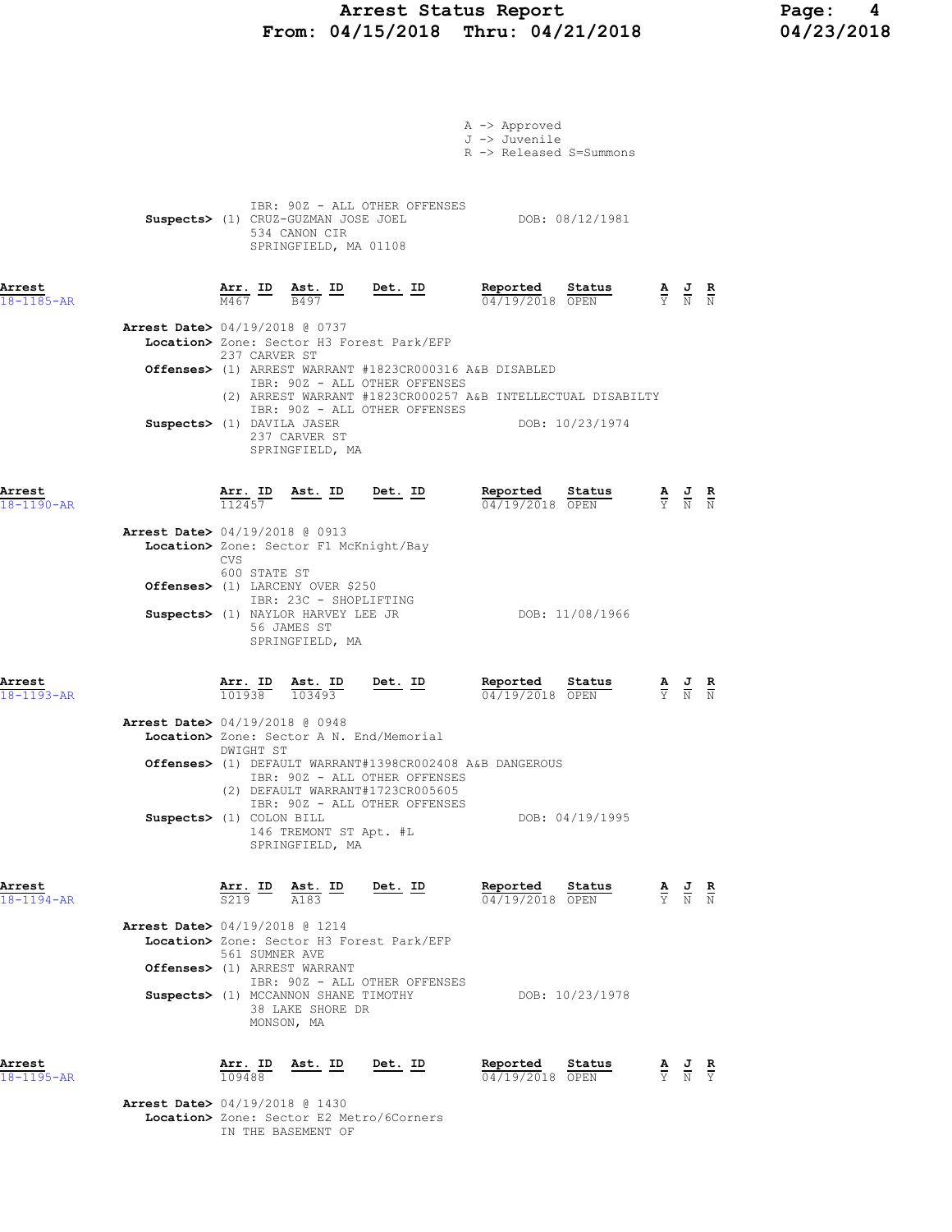### Arrest Status Report Page: 4 From: 04/15/2018 Thru: 04/21/2018 04/23/2018

|                                          |                          |                                |                                                                                                               |                                                                                          | A -> Approved<br>J -> Juvenile<br>R -> Released S=Summons   |                 |                                                                                                 |                                                                                                 |  |
|------------------------------------------|--------------------------|--------------------------------|---------------------------------------------------------------------------------------------------------------|------------------------------------------------------------------------------------------|-------------------------------------------------------------|-----------------|-------------------------------------------------------------------------------------------------|-------------------------------------------------------------------------------------------------|--|
|                                          |                          |                                | 534 CANON CIR<br>SPRINGFIELD, MA 01108                                                                        | IBR: 90Z - ALL OTHER OFFENSES                                                            | Suspects> (1) CRUZ-GUZMAN JOSE JOEL DOB: 08/12/1981         |                 |                                                                                                 |                                                                                                 |  |
| Arrest<br>$18 - 1185 - AR$               |                          |                                |                                                                                                               | $\frac{\texttt{Arr.}}{\text{M467}}$ ID $\frac{\texttt{ Ast.}}{\text{B497}}$ ID Det. ID   | Reported Status<br>04/19/2018 OPEN                          |                 | $\frac{A}{Y}$ $\frac{J}{N}$ $\frac{R}{N}$                                                       |                                                                                                 |  |
| <b>Arrest Date&gt;</b> 04/19/2018 @ 0737 |                          | 237 CARVER ST                  |                                                                                                               | Location> Zone: Sector H3 Forest Park/EFP                                                |                                                             |                 |                                                                                                 |                                                                                                 |  |
|                                          |                          |                                |                                                                                                               | Offenses> (1) ARREST WARRANT #1823CR000316 A&B DISABLED<br>IBR: 90Z - ALL OTHER OFFENSES |                                                             |                 |                                                                                                 |                                                                                                 |  |
|                                          |                          |                                |                                                                                                               | IBR: 90Z - ALL OTHER OFFENSES                                                            | (2) ARREST WARRANT #1823CR000257 A&B INTELLECTUAL DISABILTY |                 |                                                                                                 |                                                                                                 |  |
|                                          |                          |                                | Suspects> (1) DAVILA JASER<br>237 CARVER ST<br>SPRINGFIELD, MA                                                |                                                                                          | DOB: 10/23/1974                                             |                 |                                                                                                 |                                                                                                 |  |
| Arrest<br>$18 - 1190 - AR$               |                          |                                |                                                                                                               | $\frac{\texttt{Arr. ID}}{112457}$ Ast. ID Det. ID                                        | <u>Reported</u><br>04/19/2018 OPEN                          | Status          |                                                                                                 | $\frac{\mathbf{A}}{\mathbf{Y}}$ $\frac{\mathbf{J}}{\mathbf{N}}$ $\frac{\mathbf{R}}{\mathbf{N}}$ |  |
| <b>Arrest Date&gt;</b> 04/19/2018 @ 0913 | <b>CVS</b>               |                                | Location> Zone: Sector F1 McKnight/Bay                                                                        |                                                                                          |                                                             |                 |                                                                                                 |                                                                                                 |  |
|                                          |                          | 600 STATE ST                   | Offenses> (1) LARCENY OVER \$250<br>IBR: 23C - SHOPLIFTING                                                    |                                                                                          |                                                             |                 |                                                                                                 |                                                                                                 |  |
|                                          |                          |                                | Suspects> (1) NAYLOR HARVEY LEE JR<br>56 JAMES ST<br>SPRINGFIELD, MA                                          |                                                                                          |                                                             | DOB: 11/08/1966 |                                                                                                 |                                                                                                 |  |
| Arrest<br>$18 - 1193 - AR$               |                          | $\frac{\texttt{Arr.}}{101938}$ | $\frac{\text{Ast.}}{103493}$                                                                                  | $Det. ID$                                                                                | Reported<br>04/19/2018 OPEN                                 | <u>Status</u>   | $\frac{\mathbf{A}}{\mathbf{Y}}$ $\frac{\mathbf{J}}{\mathbf{N}}$ $\frac{\mathbf{R}}{\mathbf{N}}$ |                                                                                                 |  |
| Arrest Date> 04/19/2018 @ 0948           |                          | DWIGHT ST                      |                                                                                                               | Location> Zone: Sector A N. End/Memorial                                                 |                                                             |                 |                                                                                                 |                                                                                                 |  |
|                                          |                          |                                |                                                                                                               | IBR: 90Z - ALL OTHER OFFENSES<br>(2) DEFAULT WARRANT#1723CR005605                        | Offenses> (1) DEFAULT WARRANT#1398CR002408 A&B DANGEROUS    |                 |                                                                                                 |                                                                                                 |  |
|                                          | Suspects> (1) COLON BILL |                                | 146 TREMONT ST Apt. #L<br>SPRINGFIELD, MA                                                                     | IBR: 90Z - ALL OTHER OFFENSES                                                            |                                                             | DOB: 04/19/1995 |                                                                                                 |                                                                                                 |  |
| Arrest<br>18-1194-AR                     |                          |                                | $\frac{\texttt{Arr.}}{\texttt{S219}}$ $\frac{\texttt{hs}}{\texttt{Also}}$ $\frac{\texttt{mb}}{\texttt{A183}}$ | <u>Det. ID</u>                                                                           | Reported<br>$04/19/2018$ OPEN                               | Status          |                                                                                                 | $\frac{\mathbf{A}}{\mathbf{Y}}$ $\frac{\mathbf{J}}{\mathbf{N}}$ $\frac{\mathbf{R}}{\mathbf{N}}$ |  |
| Arrest Date> 04/19/2018 @ 1214           |                          |                                | 561 SUMNER AVE                                                                                                | Location> Zone: Sector H3 Forest Park/EFP                                                |                                                             |                 |                                                                                                 |                                                                                                 |  |
|                                          |                          |                                | Offenses> (1) ARREST WARRANT                                                                                  | IBR: 90Z - ALL OTHER OFFENSES                                                            |                                                             |                 |                                                                                                 |                                                                                                 |  |
|                                          |                          |                                | 38 LAKE SHORE DR<br>MONSON, MA                                                                                | Suspects> (1) MCCANNON SHANE TIMOTHY                                                     |                                                             | DOB: 10/23/1978 |                                                                                                 |                                                                                                 |  |
| Arrest<br>$18 - 1195 - AR$               |                          | Arr. ID<br>109488              | <u>Ast. ID</u>                                                                                                | <u>Det.</u> ID                                                                           | Reported<br>04/19/2018 OPEN                                 | Status          |                                                                                                 | $\frac{\mathbf{A}}{\mathbf{Y}}$ $\frac{\mathbf{J}}{\mathbf{N}}$ $\frac{\mathbf{R}}{\mathbf{Y}}$ |  |
| <b>Arrest Date&gt;</b> 04/19/2018 @ 1430 |                          |                                |                                                                                                               | Location> Zone: Sector E2 Metro/6Corners                                                 |                                                             |                 |                                                                                                 |                                                                                                 |  |

IN THE BASEMENT OF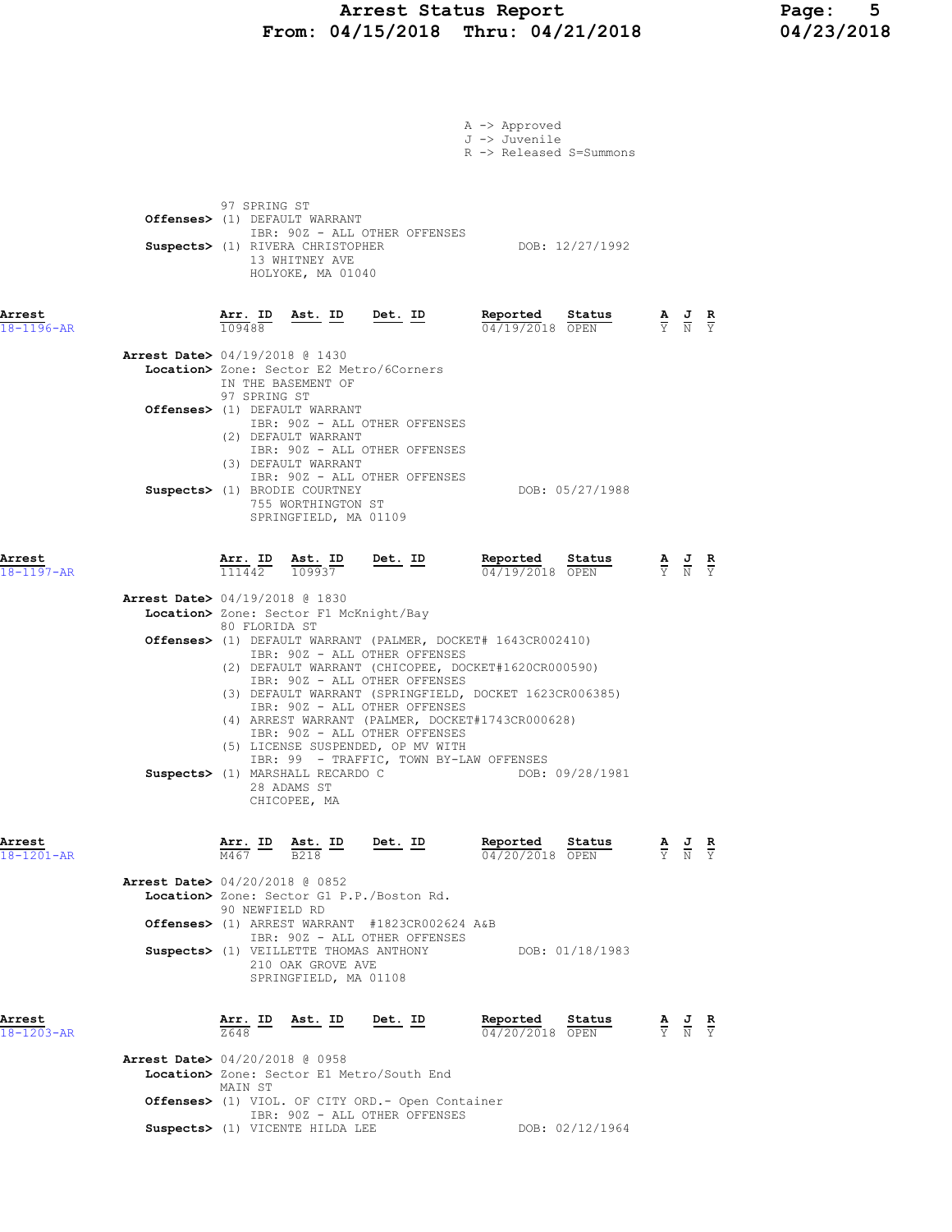## Arrest Status Report Page: 5 From: 04/15/2018 Thru: 04/21/2018 04/23/2018

|                            |                                                                                                                                                                                                                                                                                                                                                                                                                         | A -> Approved<br>J -> Juvenile<br>R -> Released S=Summons                                                                                |                                                                                                       |  |
|----------------------------|-------------------------------------------------------------------------------------------------------------------------------------------------------------------------------------------------------------------------------------------------------------------------------------------------------------------------------------------------------------------------------------------------------------------------|------------------------------------------------------------------------------------------------------------------------------------------|-------------------------------------------------------------------------------------------------------|--|
|                            | 97 SPRING ST<br>Offenses> (1) DEFAULT WARRANT<br>IBR: 90Z - ALL OTHER OFFENSES<br>Suspects> (1) RIVERA CHRISTOPHER<br>13 WHITNEY AVE<br>HOLYOKE, MA 01040                                                                                                                                                                                                                                                               | DOB: 12/27/1992                                                                                                                          |                                                                                                       |  |
| Arrest<br>18-1196-AR       | $\frac{\text{Arr. ID}}{\text{Ext. ID}}$ Ast. ID Det. ID<br>109488                                                                                                                                                                                                                                                                                                                                                       | Reported Status<br>04/19/2018 OPEN                                                                                                       | $\frac{\mathbf{A}}{\overline{Y}}$ $\frac{\mathbf{J}}{\overline{N}}$ $\frac{\mathbf{R}}{\overline{Y}}$ |  |
|                            | <b>Arrest Date&gt;</b> 04/19/2018 @ 1430<br>Location> Zone: Sector E2 Metro/6Corners<br>IN THE BASEMENT OF<br>97 SPRING ST                                                                                                                                                                                                                                                                                              |                                                                                                                                          |                                                                                                       |  |
|                            | Offenses> (1) DEFAULT WARRANT<br>IBR: 90Z - ALL OTHER OFFENSES<br>(2) DEFAULT WARRANT<br>IBR: 90Z - ALL OTHER OFFENSES<br>(3) DEFAULT WARRANT                                                                                                                                                                                                                                                                           |                                                                                                                                          |                                                                                                       |  |
|                            | IBR: 90Z - ALL OTHER OFFENSES<br>Suspects> (1) BRODIE COURTNEY<br>755 WORTHINGTON ST<br>SPRINGFIELD, MA 01109                                                                                                                                                                                                                                                                                                           | DOB: 05/27/1988                                                                                                                          |                                                                                                       |  |
| Arrest<br>$18 - 1197 - AR$ | $\frac{\texttt{Arr. ID}}{111442}$ $\frac{\texttt{ Ast. ID}}{109937}$ Det. ID                                                                                                                                                                                                                                                                                                                                            | Reported Status<br>04/19/2018 OPEN                                                                                                       | $\frac{\mathbf{A}}{\overline{Y}}$ $\frac{\mathbf{J}}{\overline{N}}$ $\frac{\mathbf{R}}{\overline{Y}}$ |  |
|                            | <b>Arrest Date&gt;</b> 04/19/2018 @ 1830                                                                                                                                                                                                                                                                                                                                                                                |                                                                                                                                          |                                                                                                       |  |
|                            | Location> Zone: Sector F1 McKnight/Bay<br>80 FLORIDA ST                                                                                                                                                                                                                                                                                                                                                                 |                                                                                                                                          |                                                                                                       |  |
|                            | <b>Offenses&gt;</b> (1) DEFAULT WARRANT (PALMER, DOCKET# 1643CR002410)<br>IBR: 90Z - ALL OTHER OFFENSES                                                                                                                                                                                                                                                                                                                 |                                                                                                                                          |                                                                                                       |  |
|                            | (2) DEFAULT WARRANT (CHICOPEE, DOCKET#1620CR000590)<br>IBR: 90Z - ALL OTHER OFFENSES<br>(3) DEFAULT WARRANT (SPRINGFIELD, DOCKET 1623CR006385)<br>IBR: 90Z - ALL OTHER OFFENSES<br>(4) ARREST WARRANT (PALMER, DOCKET#1743CR000628)<br>IBR: 90Z - ALL OTHER OFFENSES<br>(5) LICENSE SUSPENDED, OP MV WITH<br>IBR: 99 - TRAFFIC, TOWN BY-LAW OFFENSES<br>Suspects> (1) MARSHALL RECARDO C<br>28 ADAMS ST<br>CHICOPEE, MA | DOB: 09/28/1981                                                                                                                          |                                                                                                       |  |
| Arrest<br>18-1201-AR       | $\frac{\texttt{Arr.}}{\text{M467}}$ ID $\frac{\texttt{ Ast.}}{\text{B218}}$ ID Det. ID                                                                                                                                                                                                                                                                                                                                  | Reported<br>Status<br>$\frac{\mathbf{A}}{\mathbf{Y}}$ $\frac{\mathbf{J}}{\mathbf{N}}$ $\frac{\mathbf{R}}{\mathbf{Y}}$<br>04/20/2018 OPEN |                                                                                                       |  |
|                            | <b>Arrest Date&gt;</b> 04/20/2018 @ 0852<br>Location> Zone: Sector G1 P.P./Boston Rd.<br>90 NEWFIELD RD                                                                                                                                                                                                                                                                                                                 |                                                                                                                                          |                                                                                                       |  |
|                            | Offenses> (1) ARREST WARRANT #1823CR002624 A&B<br>IBR: 90Z - ALL OTHER OFFENSES                                                                                                                                                                                                                                                                                                                                         |                                                                                                                                          |                                                                                                       |  |
|                            | Suspects> (1) VEILLETTE THOMAS ANTHONY DOB: 01/18/1983<br>210 OAK GROVE AVE<br>SPRINGFIELD, MA 01108                                                                                                                                                                                                                                                                                                                    |                                                                                                                                          |                                                                                                       |  |
| Arrest<br>18-1203-AR       | <u>Ast. ID Det. ID</u><br>$\frac{\texttt{Arr.}}{7648}$ ID                                                                                                                                                                                                                                                                                                                                                               | Reported<br>Status<br>04/20/2018 OPEN                                                                                                    | $\frac{\mathbf{A}}{\mathbf{Y}}$ $\frac{\mathbf{J}}{\mathbf{N}}$ $\frac{\mathbf{R}}{\mathbf{Y}}$       |  |
|                            | <b>Arrest Date&gt;</b> 04/20/2018 @ 0958<br>Location> Zone: Sector E1 Metro/South End<br>MAIN ST<br>Offenses> (1) VIOL. OF CITY ORD. - Open Container                                                                                                                                                                                                                                                                   |                                                                                                                                          |                                                                                                       |  |
|                            | IBR: 90Z - ALL OTHER OFFENSES                                                                                                                                                                                                                                                                                                                                                                                           |                                                                                                                                          |                                                                                                       |  |
|                            | Suspects> (1) VICENTE HILDA LEE                                                                                                                                                                                                                                                                                                                                                                                         | DOB: 02/12/1964                                                                                                                          |                                                                                                       |  |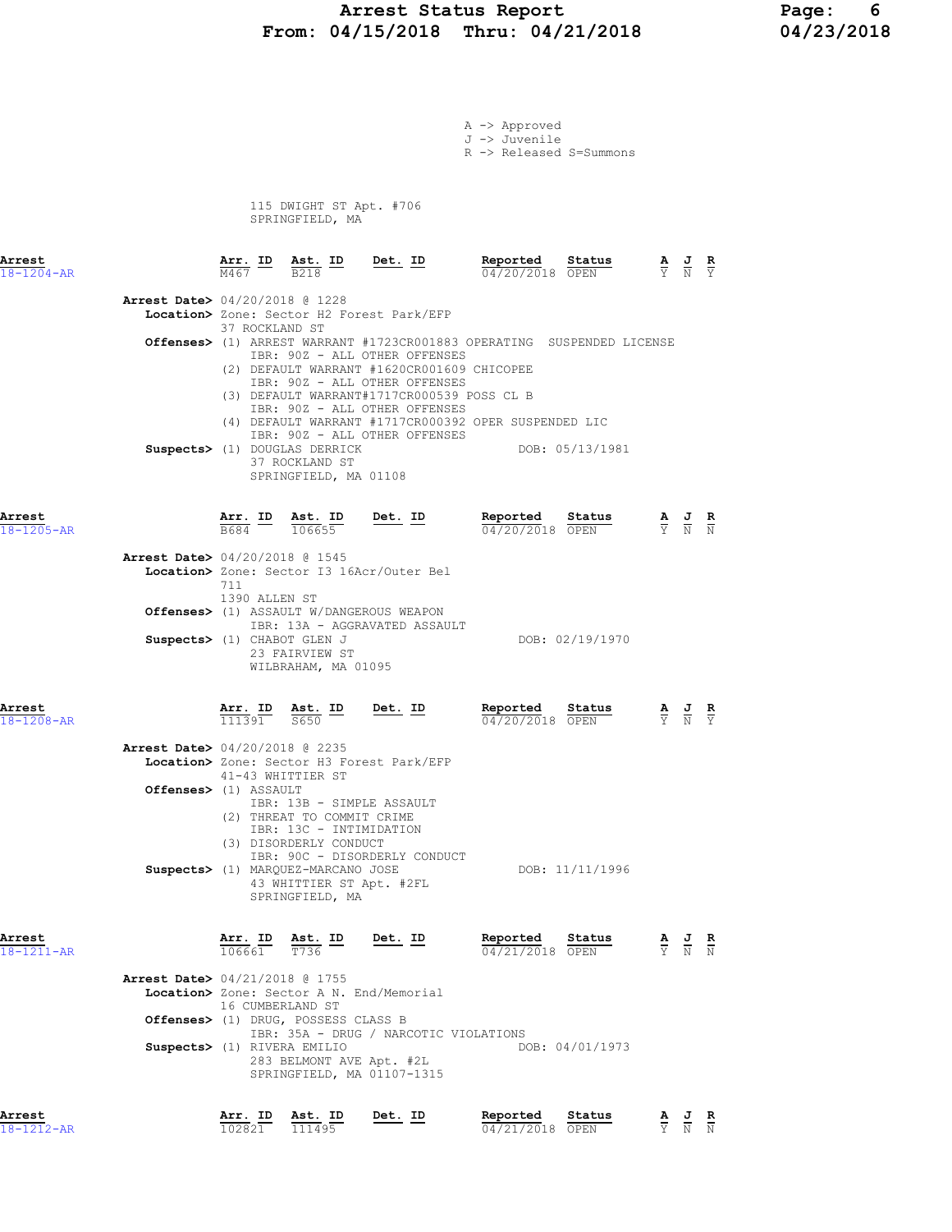# Arrest Status Report Page: 6 From: 04/15/2018 Thru: 04/21/2018 04/23/2018

|                                          |                  |                                                                                      |                                                                                        | A -> Approved                            |                                                                                         |                                                                                                 |  |
|------------------------------------------|------------------|--------------------------------------------------------------------------------------|----------------------------------------------------------------------------------------|------------------------------------------|-----------------------------------------------------------------------------------------|-------------------------------------------------------------------------------------------------|--|
|                                          |                  |                                                                                      |                                                                                        | J -> Juvenile<br>R -> Released S=Summons |                                                                                         |                                                                                                 |  |
|                                          |                  |                                                                                      |                                                                                        |                                          |                                                                                         |                                                                                                 |  |
|                                          |                  |                                                                                      |                                                                                        |                                          |                                                                                         |                                                                                                 |  |
|                                          |                  | 115 DWIGHT ST Apt. #706<br>SPRINGFIELD, MA                                           |                                                                                        |                                          |                                                                                         |                                                                                                 |  |
|                                          |                  |                                                                                      |                                                                                        |                                          |                                                                                         |                                                                                                 |  |
| Arrest                                   |                  |                                                                                      |                                                                                        | Reported                                 |                                                                                         |                                                                                                 |  |
| $18 - 1204 - AR$                         |                  |                                                                                      | $\frac{\texttt{Arr.}}{\text{M467}}$ ID $\frac{\texttt{ Ast.}}{\text{B218}}$ ID Det. ID |                                          | <b>Reported Status</b> $\frac{A}{V}$ <b>J R</b><br>$\frac{A}{V}$ $\frac{J}{N}$ <b>R</b> |                                                                                                 |  |
| <b>Arrest Date&gt;</b> 04/20/2018 @ 1228 |                  |                                                                                      |                                                                                        |                                          |                                                                                         |                                                                                                 |  |
|                                          | 37 ROCKLAND ST   |                                                                                      | Location> Zone: Sector H2 Forest Park/EFP                                              |                                          |                                                                                         |                                                                                                 |  |
|                                          |                  |                                                                                      | Offenses> (1) ARREST WARRANT #1723CR001883 OPERATING SUSPENDED LICENSE                 |                                          |                                                                                         |                                                                                                 |  |
|                                          |                  |                                                                                      | IBR: 90Z - ALL OTHER OFFENSES<br>(2) DEFAULT WARRANT #1620CR001609 CHICOPEE            |                                          |                                                                                         |                                                                                                 |  |
|                                          |                  |                                                                                      | IBR: 90Z - ALL OTHER OFFENSES<br>(3) DEFAULT WARRANT#1717CR000539 POSS CL B            |                                          |                                                                                         |                                                                                                 |  |
|                                          |                  |                                                                                      | IBR: 90Z - ALL OTHER OFFENSES                                                          |                                          |                                                                                         |                                                                                                 |  |
|                                          |                  |                                                                                      | (4) DEFAULT WARRANT #1717CR000392 OPER SUSPENDED LIC<br>IBR: 90Z - ALL OTHER OFFENSES  |                                          |                                                                                         |                                                                                                 |  |
|                                          |                  | Suspects> (1) DOUGLAS DERRICK                                                        |                                                                                        |                                          | DOB: 05/13/1981                                                                         |                                                                                                 |  |
|                                          |                  | 37 ROCKLAND ST<br>SPRINGFIELD, MA 01108                                              |                                                                                        |                                          |                                                                                         |                                                                                                 |  |
|                                          |                  |                                                                                      |                                                                                        |                                          |                                                                                         |                                                                                                 |  |
| Arrest                                   |                  | $\frac{\texttt{Arr.}}{\texttt{B684}}$ ID $\frac{\texttt{ Ast.}}{106655}$ Det. ID     |                                                                                        | Reported                                 | Status                                                                                  | $\frac{\mathbf{A}}{\mathbf{Y}}$ $\frac{\mathbf{J}}{\mathbf{N}}$ $\frac{\mathbf{R}}{\mathbf{N}}$ |  |
| $18 - 1205 - AR$                         |                  |                                                                                      |                                                                                        | $04/20/2018$ OPEN                        |                                                                                         |                                                                                                 |  |
| <b>Arrest Date&gt;</b> 04/20/2018 @ 1545 |                  |                                                                                      |                                                                                        |                                          |                                                                                         |                                                                                                 |  |
|                                          | 711              |                                                                                      | Location> Zone: Sector I3 16Acr/Outer Bel                                              |                                          |                                                                                         |                                                                                                 |  |
|                                          | 1390 ALLEN ST    |                                                                                      | <b>Offenses&gt;</b> (1) ASSAULT W/DANGEROUS WEAPON                                     |                                          |                                                                                         |                                                                                                 |  |
|                                          |                  |                                                                                      | IBR: 13A - AGGRAVATED ASSAULT                                                          |                                          |                                                                                         |                                                                                                 |  |
| Suspects> (1) CHABOT GLEN J              |                  | 23 FAIRVIEW ST                                                                       |                                                                                        |                                          | DOB: 02/19/1970                                                                         |                                                                                                 |  |
|                                          |                  | WILBRAHAM, MA 01095                                                                  |                                                                                        |                                          |                                                                                         |                                                                                                 |  |
|                                          |                  |                                                                                      |                                                                                        |                                          |                                                                                         |                                                                                                 |  |
| Arrest<br>$18 - 1208 - AR$               |                  | $\frac{\text{Arr.}}{111391}$ $\frac{\text{Ast.}}{5650}$ $\frac{\text{ID}}{\text{D}}$ | <u>Det.</u> ID                                                                         | Reported<br>04/20/2018 OPEN              | <u>Status</u>                                                                           | $\frac{\mathbf{A}}{\mathbf{Y}}$ $\frac{\mathbf{J}}{\mathbf{N}}$ $\frac{\mathbf{R}}{\mathbf{Y}}$ |  |
|                                          |                  |                                                                                      |                                                                                        |                                          |                                                                                         |                                                                                                 |  |
| <b>Arrest Date&gt;</b> 04/20/2018 @ 2235 |                  |                                                                                      | Location> Zone: Sector H3 Forest Park/EFP                                              |                                          |                                                                                         |                                                                                                 |  |
| Offenses> (1) ASSAULT                    |                  | 41-43 WHITTIER ST                                                                    |                                                                                        |                                          |                                                                                         |                                                                                                 |  |
|                                          |                  | IBR: 13B - SIMPLE ASSAULT                                                            |                                                                                        |                                          |                                                                                         |                                                                                                 |  |
|                                          |                  | (2) THREAT TO COMMIT CRIME<br>IBR: 13C - INTIMIDATION                                |                                                                                        |                                          |                                                                                         |                                                                                                 |  |
|                                          |                  | (3) DISORDERLY CONDUCT                                                               |                                                                                        |                                          |                                                                                         |                                                                                                 |  |
|                                          |                  | Suspects> (1) MARQUEZ-MARCANO JOSE                                                   | IBR: 90C - DISORDERLY CONDUCT                                                          |                                          | DOB: 11/11/1996                                                                         |                                                                                                 |  |
|                                          |                  | 43 WHITTIER ST Apt. #2FL<br>SPRINGFIELD, MA                                          |                                                                                        |                                          |                                                                                         |                                                                                                 |  |
|                                          |                  |                                                                                      |                                                                                        |                                          |                                                                                         |                                                                                                 |  |
| Arrest                                   |                  | Arr. ID Ast. ID                                                                      | Det. ID                                                                                | Reported                                 | Status                                                                                  |                                                                                                 |  |
| $18 - 1211 - AR$                         | $106661$ T736    |                                                                                      |                                                                                        | 04/21/2018 OPEN                          |                                                                                         | $\frac{\mathbf{A}}{\mathbf{Y}}$ $\frac{\mathbf{J}}{\mathbf{N}}$ $\frac{\mathbf{R}}{\mathbf{N}}$ |  |
| <b>Arrest Date&gt;</b> 04/21/2018 @ 1755 |                  |                                                                                      |                                                                                        |                                          |                                                                                         |                                                                                                 |  |
|                                          | 16 CUMBERLAND ST |                                                                                      | Location> Zone: Sector A N. End/Memorial                                               |                                          |                                                                                         |                                                                                                 |  |
|                                          |                  | Offenses> (1) DRUG, POSSESS CLASS B                                                  |                                                                                        |                                          |                                                                                         |                                                                                                 |  |
| Suspects> (1) RIVERA EMILIO              |                  |                                                                                      | IBR: 35A - DRUG / NARCOTIC VIOLATIONS                                                  |                                          | DOB: 04/01/1973                                                                         |                                                                                                 |  |
|                                          |                  |                                                                                      | 283 BELMONT AVE Apt. #2L                                                               |                                          |                                                                                         |                                                                                                 |  |
|                                          |                  |                                                                                      | SPRINGFIELD, MA 01107-1315                                                             |                                          |                                                                                         |                                                                                                 |  |
| Arrest                                   |                  |                                                                                      |                                                                                        | Reported                                 | Status                                                                                  |                                                                                                 |  |
| $18 - 1212 - AR$                         | 102821           | <u>Arr. ID Ast. ID</u><br>111495                                                     | <u>Det. ID</u>                                                                         | 04/21/2018 OPEN                          |                                                                                         | $\frac{\mathbf{A}}{\mathbf{Y}}$ $\frac{\mathbf{J}}{\mathbf{N}}$ $\frac{\mathbf{R}}{\mathbf{N}}$ |  |